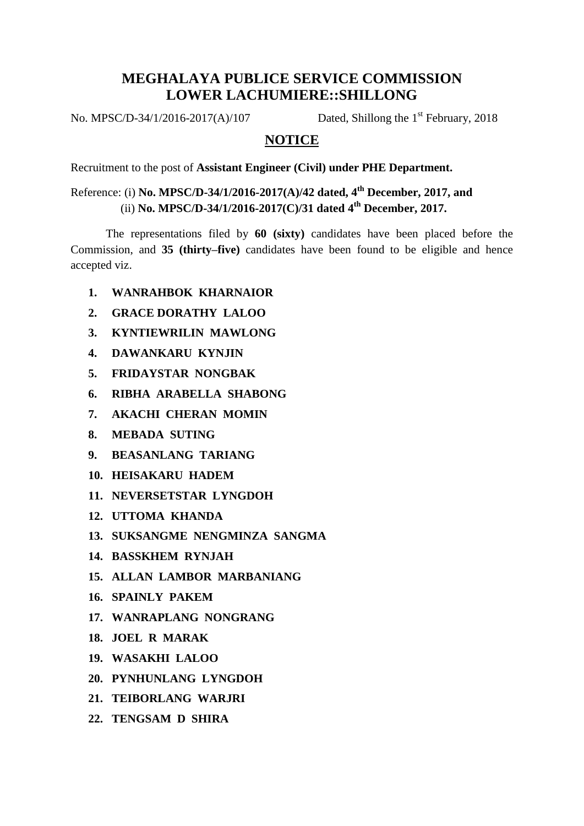## **MEGHALAYA PUBLICE SERVICE COMMISSION LOWER LACHUMIERE::SHILLONG**

No. MPSC/D-34/1/2016-2017(A)/107

Dated, Shillong the  $1<sup>st</sup>$  February, 2018

## **NOTICE**

Recruitment to the post of **Assistant Engineer (Civil) under PHE Department.**

Reference: (i) **No. MPSC/D-34/1/2016-2017(A)/42 dated, 4th December, 2017, and** (ii) **No. MPSC/D-34/1/2016-2017(C)/31 dated 4th December, 2017.**

The representations filed by **60 (sixty)** candidates have been placed before the Commission, and **35 (thirty–five)** candidates have been found to be eligible and hence accepted viz.

- **1. WANRAHBOK KHARNAIOR**
- **2. GRACE DORATHY LALOO**
- **3. KYNTIEWRILIN MAWLONG**
- **4. DAWANKARU KYNJIN**
- **5. FRIDAYSTAR NONGBAK**
- **6. RIBHA ARABELLA SHABONG**
- **7. AKACHI CHERAN MOMIN**
- **8. MEBADA SUTING**
- **9. BEASANLANG TARIANG**
- **10. HEISAKARU HADEM**
- **11. NEVERSETSTAR LYNGDOH**
- **12. UTTOMA KHANDA**
- **13. SUKSANGME NENGMINZA SANGMA**
- **14. BASSKHEM RYNJAH**
- **15. ALLAN LAMBOR MARBANIANG**
- **16. SPAINLY PAKEM**
- **17. WANRAPLANG NONGRANG**
- **18. JOEL R MARAK**
- **19. WASAKHI LALOO**
- **20. PYNHUNLANG LYNGDOH**
- **21. TEIBORLANG WARJRI**
- **22. TENGSAM D SHIRA**